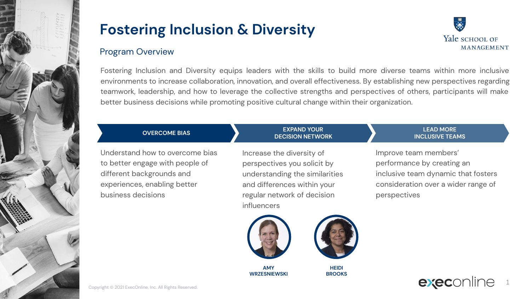

### Program Overview

Fostering Inclusion and Diversity equips leaders with the skills to build more diverse teams within more inclusive environments to increase collaboration, innovation, and overall effectiveness. By establishing new perspectives regarding teamwork, leadership, and how to leverage the collective strengths and perspectives of others, participants will make better business decisions while promoting positive cultural change within their organization.

> **EXPAND YOUR DECISION NETWORK**

### **OVERCOME BIAS**

Understand how to overcome bias to better engage with people of different backgrounds and experiences, enabling better business decisions

Increase the diversity of perspectives you solicit by understanding the similarities and differences within your regular network of decision influencers

#### **LEAD MORE INCLUSIVE TEAMS**

Improve team members' performance by creating an inclusive team dynamic that fosters consideration over a wider range of perspectives



**AMY WRZESNIEWSKI**



**HEIDI BROOKS**





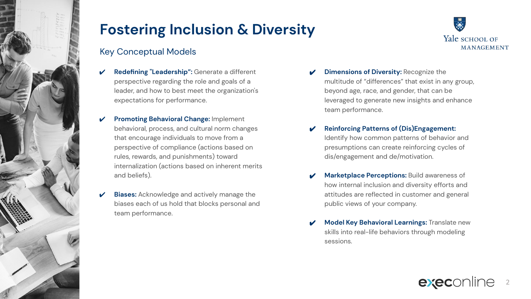

## Key Conceptual Models

- **Redefining "Leadership":** Generate a different perspective regarding the role and goals of a leader, and how to best meet the organization's expectations for performance.
- **Promoting Behavioral Change: Implement** behavioral, process, and cultural norm changes that encourage individuals to move from a perspective of compliance (actions based on rules, rewards, and punishments) toward internalization (actions based on inherent merits and beliefs).
- **Biases:** Acknowledge and actively manage the biases each of us hold that blocks personal and team performance.



- **Dimensions of Diversity: Recognize the** multitude of "differences" that exist in any group, beyond age, race, and gender, that can be leveraged to generate new insights and enhance team performance.
- ✔ **Reinforcing Patterns of (Dis)Engagement:**  Identify how common patterns of behavior and presumptions can create reinforcing cycles of dis/engagement and de/motivation.
- **Marketplace Perceptions: Build awareness of** how internal inclusion and diversity efforts and attitudes are reflected in customer and general public views of your company.
- **Model Key Behavioral Learnings: Translate new** skills into real-life behaviors through modeling sessions.

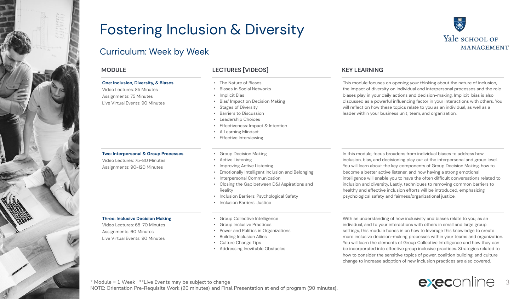

### Curriculum: Week by Week

#### **One: Inclusion, Diversity, & Biases**

Video Lectures: 85 Minutes Assignments: 75 Minutes Live Virtual Events: 90 Minutes

#### **Two: Interpersonal & Group Processes**

Video Lectures: 75-80 Minutes Assignments: 90-120 Minutes

#### **Three: Inclusive Decision Making**

Video Lectures: 65-70 Minutes Assignments: 60 Minutes Live Virtual Events: 90 Minutes

\* Module = 1 Week \*\*Live Events may be subject to change

#### **MODULE LECTURES [VIDEOS] KEY LEARNING**

- The Nature of Biases
- Biases in Social Networks
- Implicit Bias
- Bias' Impact on Decision Making
- Stages of Diversity
- Barriers to Discussion
- Leadership Choices
- Effectiveness: Impact & Intention
- A Learning Mindset
- Effective Interviewing
- Group Decision Making
- Active Listening
- Improving Active Listening
- Emotionally Intelligent Inclusion and Belonging
- Interpersonal Communication
- Closing the Gap between D&I Aspirations and Reality
- Inclusion Barriers: Psychological Safety
- Inclusion Barriers: Justice
- Group Collective Intelligence
- Group Inclusive Practices
- Power and Politics in Organizations
- Building Inclusion Allies
- Culture Change Tips

NOTE: Orientation Pre-Requisite Work (90 minutes) and Final Presentation at end of program (90 minutes).

• Addressing Inevitable Obstacles

#### In this module, focus broadens from individual biases to address how inclusion, bias, and decisioning play out at the interpersonal and group level. You will learn about the key components of Group Decision Making, how to become a better active listener, and how having a strong emotional intelligence will enable you to have the often difficult conversations related to inclusion and diversity. Lastly, techniques to removing common barriers to healthy and effective inclusion efforts will be introduced, emphasizing psychological safety and fairness/organizational justice.

With an understanding of how inclusivity and biases relate to you, as an individual, and to your interactions with others in small and large group settings, this module hones in on how to leverage this knowledge to create more inclusive decision-making processes within your teams and organization. You will learn the elements of Group Collective Intelligence and how they can be incorporated into effective group inclusive practices. Strategies related to how to consider the sensitive topics of power, coalition building, and culture change to increase adoption of new inclusion practices are also covered.



**MANAGEMENT** This module focuses on opening your thinking about the nature of inclusion,

Yale SCHOOL OF

the impact of diversity on individual and interpersonal processes and the role biases play in your daily actions and decision-making. Implicit bias is also discussed as a powerful influencing factor in your interactions with others. You will reflect on how these topics relate to you as an individual, as well as a leader within your business unit, team, and organization.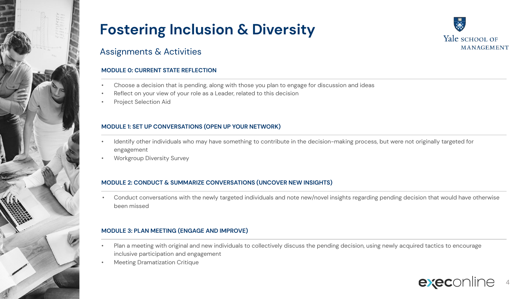

### Assignments & Activities

### **MODULE 0: CURRENT STATE REFLECTION**

- Choose a decision that is pending, along with those you plan to engage for discussion and ideas
- Reflect on your view of your role as a Leader, related to this decision
- Project Selection Aid

#### **MODULE 1: SET UP CONVERSATIONS (OPEN UP YOUR NETWORK)**

- Identify other individuals who may have something to contribute in the decision-making process, but were not originally targeted for engagement
- Workgroup Diversity Survey

#### **MODULE 2: CONDUCT & SUMMARIZE CONVERSATIONS (UNCOVER NEW INSIGHTS)**

• Conduct conversations with the newly targeted individuals and note new/novel insights regarding pending decision that would have otherwise been missed

#### **MODULE 3: PLAN MEETING (ENGAGE AND IMPROVE)**

- Plan a meeting with original and new individuals to collectively discuss the pending decision, using newly acquired tactics to encourage inclusive participation and engagement
- Meeting Dramatization Critique